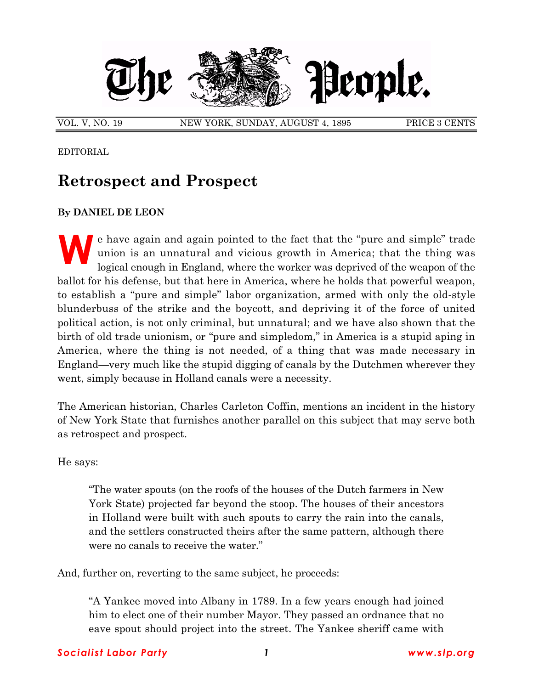

VOL. V, NO. 19 NEW YORK, SUNDAY, AUGUST 4, 1895 PRICE 3 CENTS

EDITORIAL

## **Retrospect and Prospect**

## **By DANIEL DE LEON**

e have again and again pointed to the fact that the "pure and simple" trade union is an unnatural and vicious growth in America; that the thing was logical enough in England, where the worker was deprived of the weapon of union is an unnatural and vicious growth in America; that the thing was logical enough in England, where the worker was deprived of the weapon of the ballot for his defense, but that here in America, where he holds that powerful weapon, to establish a "pure and simple" labor organization, armed with only the old-style blunderbuss of the strike and the boycott, and depriving it of the force of united political action, is not only criminal, but unnatural; and we have also shown that the birth of old trade unionism, or "pure and simpledom," in America is a stupid aping in America, where the thing is not needed, of a thing that was made necessary in England—very much like the stupid digging of canals by the Dutchmen wherever they went, simply because in Holland canals were a necessity.

The American historian, Charles Carleton Coffin, mentions an incident in the history of New York State that furnishes another parallel on this subject that may serve both as retrospect and prospect.

He says:

ìThe water spouts (on the roofs of the houses of the Dutch farmers in New York State) projected far beyond the stoop. The houses of their ancestors in Holland were built with such spouts to carry the rain into the canals, and the settlers constructed theirs after the same pattern, although there were no canals to receive the water."

And, further on, reverting to the same subject, he proceeds:

ìA Yankee moved into Albany in 1789. In a few years enough had joined him to elect one of their number Mayor. They passed an ordnance that no eave spout should project into the street. The Yankee sheriff came with

## *Socialist Labor Party 1 www.slp.org*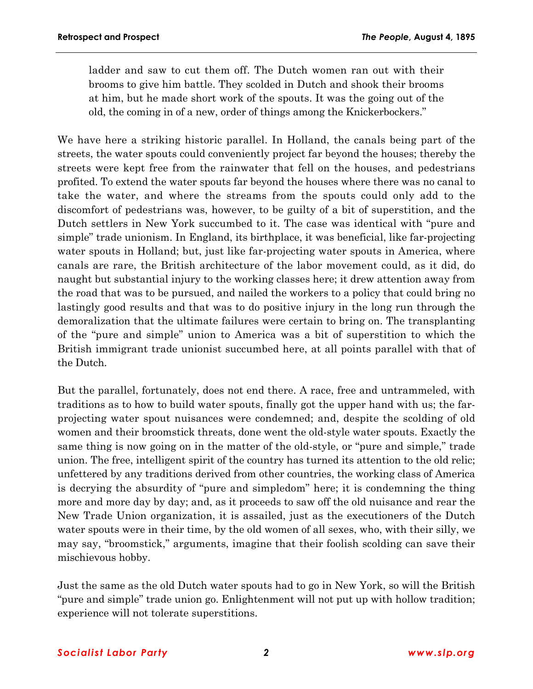ladder and saw to cut them off. The Dutch women ran out with their brooms to give him battle. They scolded in Dutch and shook their brooms at him, but he made short work of the spouts. It was the going out of the old, the coming in of a new, order of things among the Knickerbockers."

We have here a striking historic parallel. In Holland, the canals being part of the streets, the water spouts could conveniently project far beyond the houses; thereby the streets were kept free from the rainwater that fell on the houses, and pedestrians profited. To extend the water spouts far beyond the houses where there was no canal to take the water, and where the streams from the spouts could only add to the discomfort of pedestrians was, however, to be guilty of a bit of superstition, and the Dutch settlers in New York succumbed to it. The case was identical with "pure and simpleî trade unionism. In England, its birthplace, it was beneficial, like far-projecting water spouts in Holland; but, just like far-projecting water spouts in America, where canals are rare, the British architecture of the labor movement could, as it did, do naught but substantial injury to the working classes here; it drew attention away from the road that was to be pursued, and nailed the workers to a policy that could bring no lastingly good results and that was to do positive injury in the long run through the demoralization that the ultimate failures were certain to bring on. The transplanting of the "pure and simple" union to America was a bit of superstition to which the British immigrant trade unionist succumbed here, at all points parallel with that of the Dutch.

But the parallel, fortunately, does not end there. A race, free and untrammeled, with traditions as to how to build water spouts, finally got the upper hand with us; the farprojecting water spout nuisances were condemned; and, despite the scolding of old women and their broomstick threats, done went the old-style water spouts. Exactly the same thing is now going on in the matter of the old-style, or "pure and simple," trade union. The free, intelligent spirit of the country has turned its attention to the old relic; unfettered by any traditions derived from other countries, the working class of America is decrying the absurdity of "pure and simpledom" here; it is condemning the thing more and more day by day; and, as it proceeds to saw off the old nuisance and rear the New Trade Union organization, it is assailed, just as the executioners of the Dutch water spouts were in their time, by the old women of all sexes, who, with their silly, we may say, "broomstick," arguments, imagine that their foolish scolding can save their mischievous hobby.

Just the same as the old Dutch water spouts had to go in New York, so will the British "pure and simple" trade union go. Enlightenment will not put up with hollow tradition; experience will not tolerate superstitions.